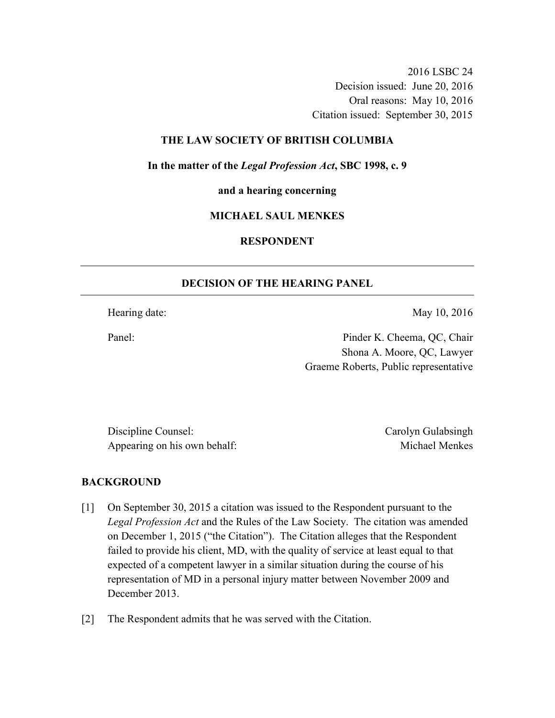2016 LSBC 24 Decision issued: June 20, 2016 Oral reasons: May 10, 2016 Citation issued: September 30, 2015

### **THE LAW SOCIETY OF BRITISH COLUMBIA**

**In the matter of the** *Legal Profession Act***, SBC 1998, c. 9** 

**and a hearing concerning** 

#### **MICHAEL SAUL MENKES**

# **RESPONDENT**

### **DECISION OF THE HEARING PANEL**

Hearing date: May 10, 2016

Panel: Pinder K. Cheema, QC, Chair Shona A. Moore, QC, Lawyer Graeme Roberts, Public representative

Discipline Counsel: Carolyn Gulabsingh Appearing on his own behalf: Michael Menkes

#### **BACKGROUND**

- [1] On September 30, 2015 a citation was issued to the Respondent pursuant to the *Legal Profession Act* and the Rules of the Law Society. The citation was amended on December 1, 2015 ("the Citation"). The Citation alleges that the Respondent failed to provide his client, MD, with the quality of service at least equal to that expected of a competent lawyer in a similar situation during the course of his representation of MD in a personal injury matter between November 2009 and December 2013.
- [2] The Respondent admits that he was served with the Citation.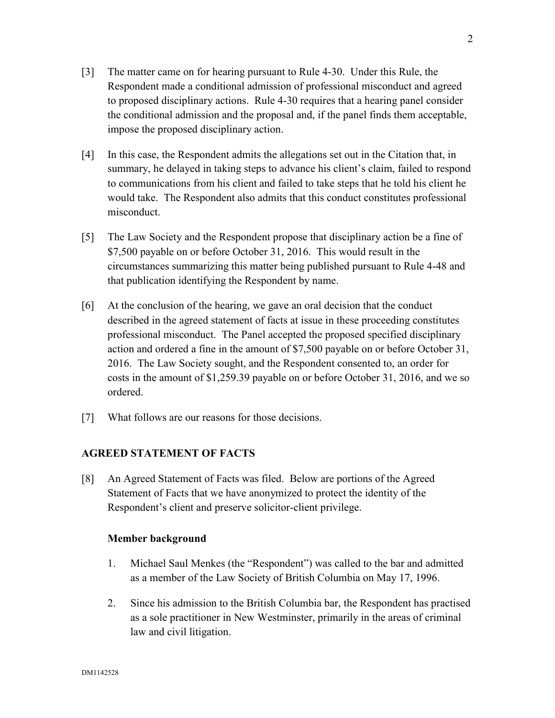- [3] The matter came on for hearing pursuant to Rule 4-30. Under this Rule, the Respondent made a conditional admission of professional misconduct and agreed to proposed disciplinary actions. Rule 4-30 requires that a hearing panel consider the conditional admission and the proposal and, if the panel finds them acceptable, impose the proposed disciplinary action.
- [4] In this case, the Respondent admits the allegations set out in the Citation that, in summary, he delayed in taking steps to advance his client's claim, failed to respond to communications from his client and failed to take steps that he told his client he would take. The Respondent also admits that this conduct constitutes professional misconduct.
- [5] The Law Society and the Respondent propose that disciplinary action be a fine of \$7,500 payable on or before October 31, 2016. This would result in the circumstances summarizing this matter being published pursuant to Rule 4-48 and that publication identifying the Respondent by name.
- [6] At the conclusion of the hearing, we gave an oral decision that the conduct described in the agreed statement of facts at issue in these proceeding constitutes professional misconduct. The Panel accepted the proposed specified disciplinary action and ordered a fine in the amount of \$7,500 payable on or before October 31, 2016. The Law Society sought, and the Respondent consented to, an order for costs in the amount of \$1,259.39 payable on or before October 31, 2016, and we so ordered.
- [7] What follows are our reasons for those decisions.

### **AGREED STATEMENT OF FACTS**

[8] An Agreed Statement of Facts was filed. Below are portions of the Agreed Statement of Facts that we have anonymized to protect the identity of the Respondent's client and preserve solicitor-client privilege.

### **Member background**

- 1. Michael Saul Menkes (the "Respondent") was called to the bar and admitted as a member of the Law Society of British Columbia on May 17, 1996.
- 2. Since his admission to the British Columbia bar, the Respondent has practised as a sole practitioner in New Westminster, primarily in the areas of criminal law and civil litigation.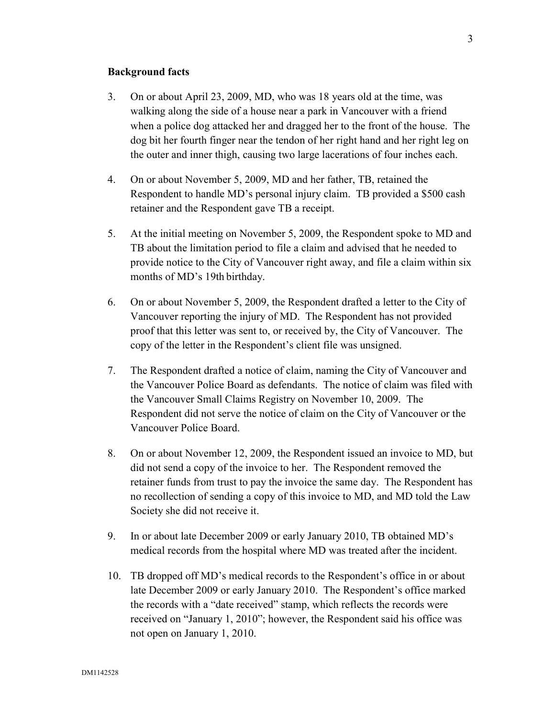### **Background facts**

- 3. On or about April 23, 2009, MD, who was 18 years old at the time, was walking along the side of a house near a park in Vancouver with a friend when a police dog attacked her and dragged her to the front of the house. The dog bit her fourth finger near the tendon of her right hand and her right leg on the outer and inner thigh, causing two large lacerations of four inches each.
- 4. On or about November 5, 2009, MD and her father, TB, retained the Respondent to handle MD's personal injury claim. TB provided a \$500 cash retainer and the Respondent gave TB a receipt.
- 5. At the initial meeting on November 5, 2009, the Respondent spoke to MD and TB about the limitation period to file a claim and advised that he needed to provide notice to the City of Vancouver right away, and file a claim within six months of MD's 19th birthday.
- 6. On or about November 5, 2009, the Respondent drafted a letter to the City of Vancouver reporting the injury of MD. The Respondent has not provided proof that this letter was sent to, or received by, the City of Vancouver. The copy of the letter in the Respondent's client file was unsigned.
- 7. The Respondent drafted a notice of claim, naming the City of Vancouver and the Vancouver Police Board as defendants. The notice of claim was filed with the Vancouver Small Claims Registry on November 10, 2009. The Respondent did not serve the notice of claim on the City of Vancouver or the Vancouver Police Board.
- 8. On or about November 12, 2009, the Respondent issued an invoice to MD, but did not send a copy of the invoice to her. The Respondent removed the retainer funds from trust to pay the invoice the same day. The Respondent has no recollection of sending a copy of this invoice to MD, and MD told the Law Society she did not receive it.
- 9. In or about late December 2009 or early January 2010, TB obtained MD's medical records from the hospital where MD was treated after the incident.
- 10. TB dropped off MD's medical records to the Respondent's office in or about late December 2009 or early January 2010. The Respondent's office marked the records with a "date received" stamp, which reflects the records were received on "January 1, 2010"; however, the Respondent said his office was not open on January 1, 2010.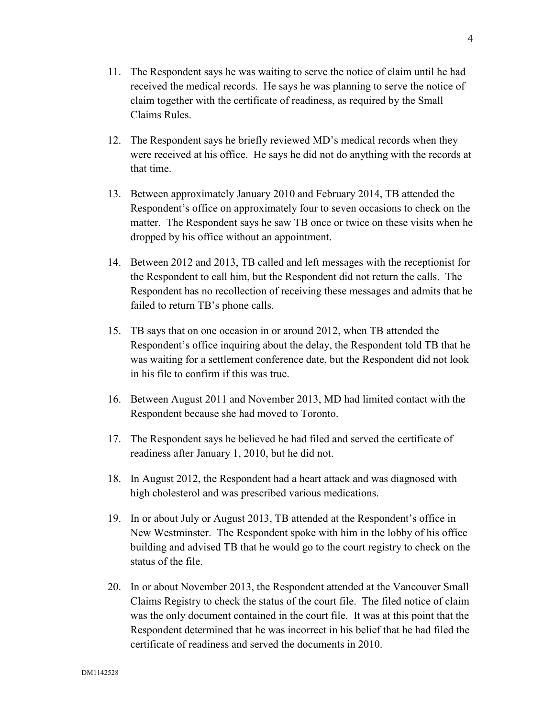- 11. The Respondent says he was waiting to serve the notice of claim until he had received the medical records. He says he was planning to serve the notice of claim together with the certificate of readiness, as required by the Small Claims Rules.
- 12. The Respondent says he briefly reviewed MD's medical records when they were received at his office. He says he did not do anything with the records at that time.
- 13. Between approximately January 2010 and February 2014, TB attended the Respondent's office on approximately four to seven occasions to check on the matter. The Respondent says he saw TB once or twice on these visits when he dropped by his office without an appointment.
- 14. Between 2012 and 2013, TB called and left messages with the receptionist for the Respondent to call him, but the Respondent did not return the calls. The Respondent has no recollection of receiving these messages and admits that he failed to return TB's phone calls.
- 15. TB says that on one occasion in or around 2012, when TB attended the Respondent's office inquiring about the delay, the Respondent told TB that he was waiting for a settlement conference date, but the Respondent did not look in his file to confirm if this was true.
- 16. Between August 2011 and November 2013, MD had limited contact with the Respondent because she had moved to Toronto.
- 17. The Respondent says he believed he had filed and served the certificate of readiness after January 1, 2010, but he did not.
- 18. In August 2012, the Respondent had a heart attack and was diagnosed with high cholesterol and was prescribed various medications.
- 19. In or about July or August 2013, TB attended at the Respondent's office in New Westminster. The Respondent spoke with him in the lobby of his office building and advised TB that he would go to the court registry to check on the status of the file.
- 20. In or about November 2013, the Respondent attended at the Vancouver Small Claims Registry to check the status of the court file. The filed notice of claim was the only document contained in the court file. It was at this point that the Respondent determined that he was incorrect in his belief that he had filed the certificate of readiness and served the documents in 2010.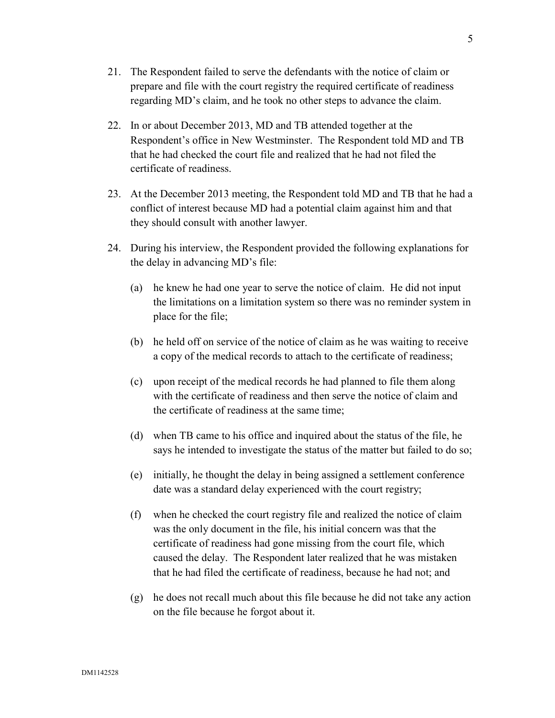- 21. The Respondent failed to serve the defendants with the notice of claim or prepare and file with the court registry the required certificate of readiness regarding MD's claim, and he took no other steps to advance the claim.
- 22. In or about December 2013, MD and TB attended together at the Respondent's office in New Westminster. The Respondent told MD and TB that he had checked the court file and realized that he had not filed the certificate of readiness.
- 23. At the December 2013 meeting, the Respondent told MD and TB that he had a conflict of interest because MD had a potential claim against him and that they should consult with another lawyer.
- 24. During his interview, the Respondent provided the following explanations for the delay in advancing MD's file:
	- (a) he knew he had one year to serve the notice of claim. He did not input the limitations on a limitation system so there was no reminder system in place for the file;
	- (b) he held off on service of the notice of claim as he was waiting to receive a copy of the medical records to attach to the certificate of readiness;
	- (c) upon receipt of the medical records he had planned to file them along with the certificate of readiness and then serve the notice of claim and the certificate of readiness at the same time;
	- (d) when TB came to his office and inquired about the status of the file, he says he intended to investigate the status of the matter but failed to do so;
	- (e) initially, he thought the delay in being assigned a settlement conference date was a standard delay experienced with the court registry;
	- (f) when he checked the court registry file and realized the notice of claim was the only document in the file, his initial concern was that the certificate of readiness had gone missing from the court file, which caused the delay. The Respondent later realized that he was mistaken that he had filed the certificate of readiness, because he had not; and
	- (g) he does not recall much about this file because he did not take any action on the file because he forgot about it.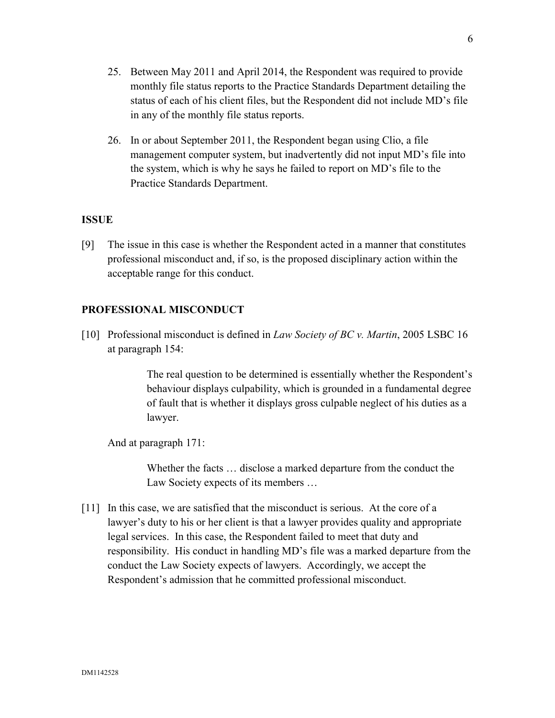- 25. Between May 2011 and April 2014, the Respondent was required to provide monthly file status reports to the Practice Standards Department detailing the status of each of his client files, but the Respondent did not include MD's file in any of the monthly file status reports.
- 26. In or about September 2011, the Respondent began using Clio, a file management computer system, but inadvertently did not input MD's file into the system, which is why he says he failed to report on MD's file to the Practice Standards Department.

# **ISSUE**

[9] The issue in this case is whether the Respondent acted in a manner that constitutes professional misconduct and, if so, is the proposed disciplinary action within the acceptable range for this conduct.

# **PROFESSIONAL MISCONDUCT**

[10] Professional misconduct is defined in *Law Society of BC v. Martin*, 2005 LSBC 16 at paragraph 154:

> The real question to be determined is essentially whether the Respondent's behaviour displays culpability, which is grounded in a fundamental degree of fault that is whether it displays gross culpable neglect of his duties as a lawyer.

And at paragraph 171:

Whether the facts … disclose a marked departure from the conduct the Law Society expects of its members …

[11] In this case, we are satisfied that the misconduct is serious. At the core of a lawyer's duty to his or her client is that a lawyer provides quality and appropriate legal services. In this case, the Respondent failed to meet that duty and responsibility. His conduct in handling MD's file was a marked departure from the conduct the Law Society expects of lawyers. Accordingly, we accept the Respondent's admission that he committed professional misconduct.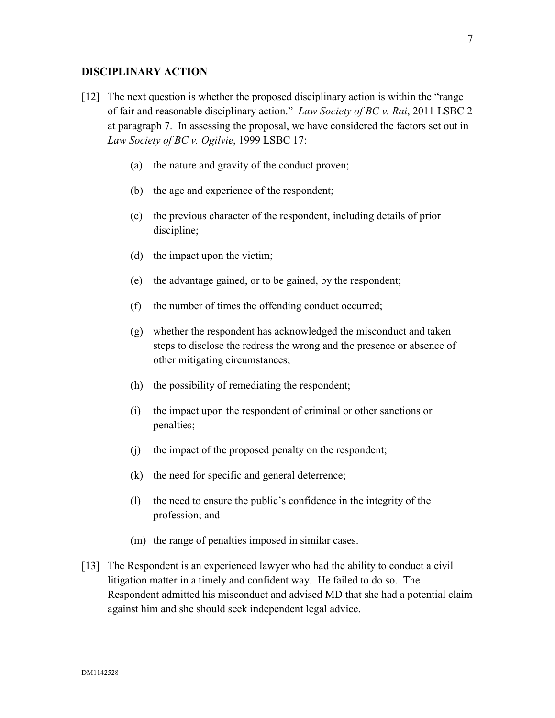#### **DISCIPLINARY ACTION**

- [12] The next question is whether the proposed disciplinary action is within the "range of fair and reasonable disciplinary action." *Law Society of BC v. Rai*, 2011 LSBC 2 at paragraph 7. In assessing the proposal, we have considered the factors set out in *Law Society of BC v. Ogilvie*, 1999 LSBC 17:
	- (a) the nature and gravity of the conduct proven;
	- (b) the age and experience of the respondent;
	- (c) the previous character of the respondent, including details of prior discipline;
	- (d) the impact upon the victim;
	- (e) the advantage gained, or to be gained, by the respondent;
	- (f) the number of times the offending conduct occurred;
	- (g) whether the respondent has acknowledged the misconduct and taken steps to disclose the redress the wrong and the presence or absence of other mitigating circumstances;
	- (h) the possibility of remediating the respondent;
	- (i) the impact upon the respondent of criminal or other sanctions or penalties;
	- (j) the impact of the proposed penalty on the respondent;
	- (k) the need for specific and general deterrence;
	- (l) the need to ensure the public's confidence in the integrity of the profession; and
	- (m) the range of penalties imposed in similar cases.
- [13] The Respondent is an experienced lawyer who had the ability to conduct a civil litigation matter in a timely and confident way. He failed to do so. The Respondent admitted his misconduct and advised MD that she had a potential claim against him and she should seek independent legal advice.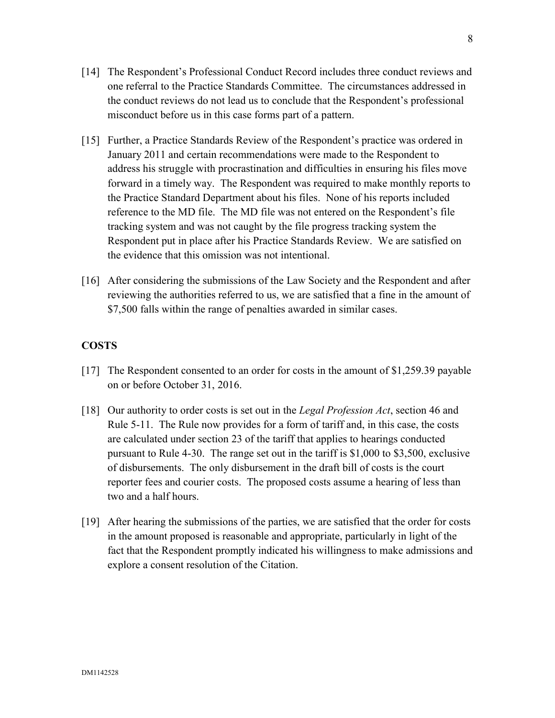- [14] The Respondent's Professional Conduct Record includes three conduct reviews and one referral to the Practice Standards Committee. The circumstances addressed in the conduct reviews do not lead us to conclude that the Respondent's professional misconduct before us in this case forms part of a pattern.
- [15] Further, a Practice Standards Review of the Respondent's practice was ordered in January 2011 and certain recommendations were made to the Respondent to address his struggle with procrastination and difficulties in ensuring his files move forward in a timely way. The Respondent was required to make monthly reports to the Practice Standard Department about his files. None of his reports included reference to the MD file. The MD file was not entered on the Respondent's file tracking system and was not caught by the file progress tracking system the Respondent put in place after his Practice Standards Review. We are satisfied on the evidence that this omission was not intentional.
- [16] After considering the submissions of the Law Society and the Respondent and after reviewing the authorities referred to us, we are satisfied that a fine in the amount of \$7,500 falls within the range of penalties awarded in similar cases.

# **COSTS**

- [17] The Respondent consented to an order for costs in the amount of \$1,259.39 payable on or before October 31, 2016.
- [18] Our authority to order costs is set out in the *Legal Profession Act*, section 46 and Rule 5-11. The Rule now provides for a form of tariff and, in this case, the costs are calculated under section 23 of the tariff that applies to hearings conducted pursuant to Rule 4-30. The range set out in the tariff is \$1,000 to \$3,500, exclusive of disbursements. The only disbursement in the draft bill of costs is the court reporter fees and courier costs. The proposed costs assume a hearing of less than two and a half hours.
- [19] After hearing the submissions of the parties, we are satisfied that the order for costs in the amount proposed is reasonable and appropriate, particularly in light of the fact that the Respondent promptly indicated his willingness to make admissions and explore a consent resolution of the Citation.